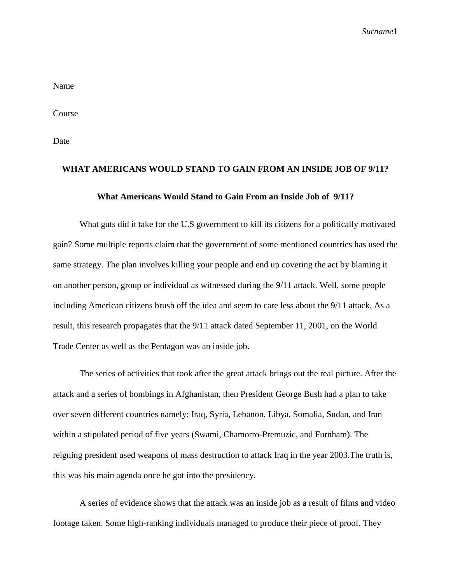*Surname*1

Name

Course

Date

## **WHAT AMERICANS WOULD STAND TO GAIN FROM AN INSIDE JOB OF 9/11?**

## **What Americans Would Stand to Gain From an Inside Job of 9/11?**

What guts did it take for the U.S government to kill its citizens for a politically motivated gain? Some multiple reports claim that the government of some mentioned countries has used the same strategy. The plan involves killing your people and end up covering the act by blaming it on another person, group or individual as witnessed during the 9/11 attack. Well, some people including American citizens brush off the idea and seem to care less about the 9/11 attack. As a result, this research propagates that the 9/11 attack dated September 11, 2001, on the World Trade Center as well as the Pentagon was an inside job.

The series of activities that took after the great attack brings out the real picture. After the attack and a series of bombings in Afghanistan, then President George Bush had a plan to take over seven different countries namely: Iraq, Syria, Lebanon, Libya, Somalia, Sudan, and Iran within a stipulated period of five years (Swami, Chamorro-Premuzic, and Furnham). The reigning president used weapons of mass destruction to attack Iraq in the year 2003.The truth is, this was his main agenda once he got into the presidency.

A series of evidence shows that the attack was an inside job as a result of films and video footage taken. Some high-ranking individuals managed to produce their piece of proof. They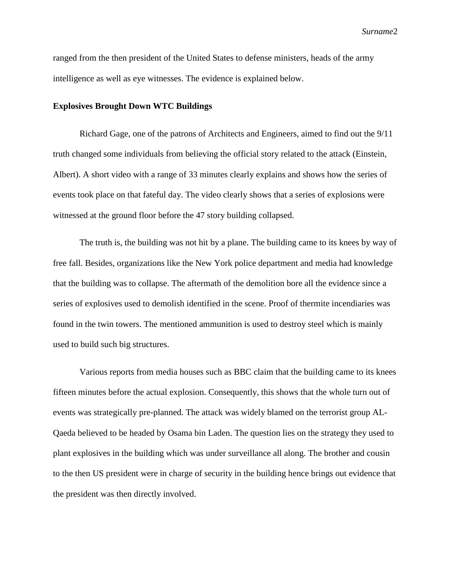*Surname*2

ranged from the then president of the United States to defense ministers, heads of the army intelligence as well as eye witnesses. The evidence is explained below.

## **Explosives Brought Down WTC Buildings**

Richard Gage, one of the patrons of Architects and Engineers, aimed to find out the 9/11 truth changed some individuals from believing the official story related to the attack (Einstein, Albert). A short video with a range of 33 minutes clearly explains and shows how the series of events took place on that fateful day. The video clearly shows that a series of explosions were witnessed at the ground floor before the 47 story building collapsed.

The truth is, the building was not hit by a plane. The building came to its knees by way of free fall. Besides, organizations like the New York police department and media had knowledge that the building was to collapse. The aftermath of the demolition bore all the evidence since a series of explosives used to demolish identified in the scene. Proof of thermite incendiaries was found in the twin towers. The mentioned ammunition is used to destroy steel which is mainly used to build such big structures.

Various reports from media houses such as BBC claim that the building came to its knees fifteen minutes before the actual explosion. Consequently, this shows that the whole turn out of events was strategically pre-planned. The attack was widely blamed on the terrorist group AL-Qaeda believed to be headed by Osama bin Laden. The question lies on the strategy they used to plant explosives in the building which was under surveillance all along. The brother and cousin to the then US president were in charge of security in the building hence brings out evidence that the president was then directly involved.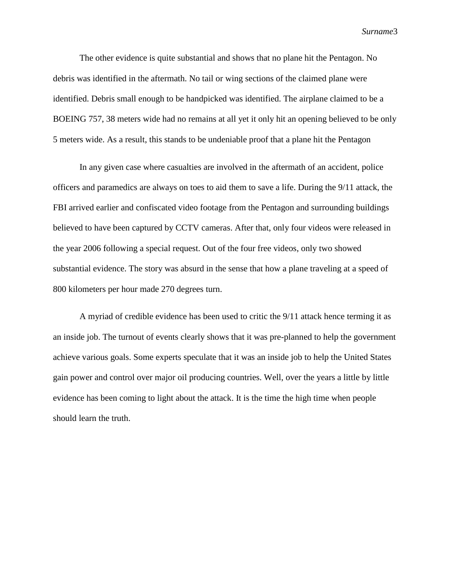*Surname*3

The other evidence is quite substantial and shows that no plane hit the Pentagon. No debris was identified in the aftermath. No tail or wing sections of the claimed plane were identified. Debris small enough to be handpicked was identified. The airplane claimed to be a BOEING 757, 38 meters wide had no remains at all yet it only hit an opening believed to be only 5 meters wide. As a result, this stands to be undeniable proof that a plane hit the Pentagon

In any given case where casualties are involved in the aftermath of an accident, police officers and paramedics are always on toes to aid them to save a life. During the 9/11 attack, the FBI arrived earlier and confiscated video footage from the Pentagon and surrounding buildings believed to have been captured by CCTV cameras. After that, only four videos were released in the year 2006 following a special request. Out of the four free videos, only two showed substantial evidence. The story was absurd in the sense that how a plane traveling at a speed of 800 kilometers per hour made 270 degrees turn.

A myriad of credible evidence has been used to critic the 9/11 attack hence terming it as an inside job. The turnout of events clearly shows that it was pre-planned to help the government achieve various goals. Some experts speculate that it was an inside job to help the United States gain power and control over major oil producing countries. Well, over the years a little by little evidence has been coming to light about the attack. It is the time the high time when people should learn the truth.